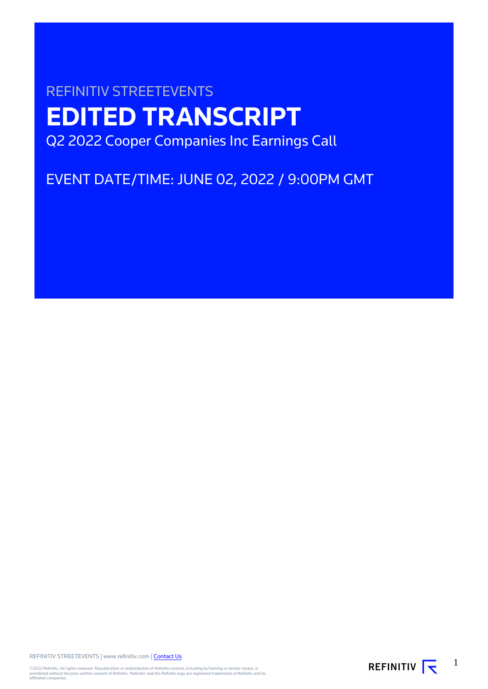# REFINITIV STREETEVENTS **EDITED TRANSCRIPT** Q2 2022 Cooper Companies Inc Earnings Call

EVENT DATE/TIME: JUNE 02, 2022 / 9:00PM GMT

REFINITIV STREETEVENTS | www.refinitiv.com | [Contact Us](https://www.refinitiv.com/en/contact-us)

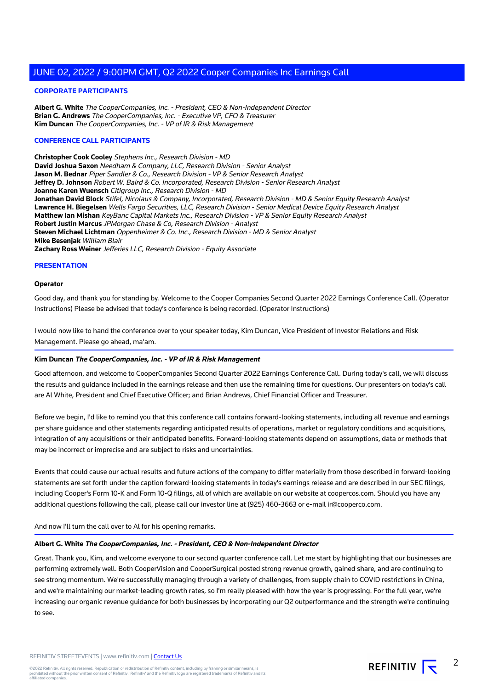#### **CORPORATE PARTICIPANTS**

**Albert G. White** The CooperCompanies, Inc. - President, CEO & Non-Independent Director **Brian G. Andrews** The CooperCompanies, Inc. - Executive VP, CFO & Treasurer **Kim Duncan** The CooperCompanies, Inc. - VP of IR & Risk Management

#### **CONFERENCE CALL PARTICIPANTS**

**Christopher Cook Cooley** Stephens Inc., Research Division - MD **David Joshua Saxon** Needham & Company, LLC, Research Division - Senior Analyst **Jason M. Bednar** Piper Sandler & Co., Research Division - VP & Senior Research Analyst **Jeffrey D. Johnson** Robert W. Baird & Co. Incorporated, Research Division - Senior Research Analyst **Joanne Karen Wuensch** Citigroup Inc., Research Division - MD **Jonathan David Block** Stifel, Nicolaus & Company, Incorporated, Research Division - MD & Senior Equity Research Analyst **Lawrence H. Biegelsen** Wells Fargo Securities, LLC, Research Division - Senior Medical Device Equity Research Analyst **Matthew Ian Mishan** KeyBanc Capital Markets Inc., Research Division - VP & Senior Equity Research Analyst **Robert Justin Marcus** JPMorgan Chase & Co, Research Division - Analyst **Steven Michael Lichtman** Oppenheimer & Co. Inc., Research Division - MD & Senior Analyst **Mike Besenjak** William Blair **Zachary Ross Weiner** Jefferies LLC, Research Division - Equity Associate

#### **PRESENTATION**

#### **Operator**

Good day, and thank you for standing by. Welcome to the Cooper Companies Second Quarter 2022 Earnings Conference Call. (Operator Instructions) Please be advised that today's conference is being recorded. (Operator Instructions)

I would now like to hand the conference over to your speaker today, Kim Duncan, Vice President of Investor Relations and Risk Management. Please go ahead, ma'am.

#### **Kim Duncan The CooperCompanies, Inc. - VP of IR & Risk Management**

Good afternoon, and welcome to CooperCompanies Second Quarter 2022 Earnings Conference Call. During today's call, we will discuss the results and guidance included in the earnings release and then use the remaining time for questions. Our presenters on today's call are Al White, President and Chief Executive Officer; and Brian Andrews, Chief Financial Officer and Treasurer.

Before we begin, I'd like to remind you that this conference call contains forward-looking statements, including all revenue and earnings per share guidance and other statements regarding anticipated results of operations, market or regulatory conditions and acquisitions, integration of any acquisitions or their anticipated benefits. Forward-looking statements depend on assumptions, data or methods that may be incorrect or imprecise and are subject to risks and uncertainties.

Events that could cause our actual results and future actions of the company to differ materially from those described in forward-looking statements are set forth under the caption forward-looking statements in today's earnings release and are described in our SEC filings, including Cooper's Form 10-K and Form 10-Q filings, all of which are available on our website at coopercos.com. Should you have any additional questions following the call, please call our investor line at (925) 460-3663 or e-mail ir@cooperco.com.

And now I'll turn the call over to Al for his opening remarks.

#### **Albert G. White The CooperCompanies, Inc. - President, CEO & Non-Independent Director**

Great. Thank you, Kim, and welcome everyone to our second quarter conference call. Let me start by highlighting that our businesses are performing extremely well. Both CooperVision and CooperSurgical posted strong revenue growth, gained share, and are continuing to see strong momentum. We're successfully managing through a variety of challenges, from supply chain to COVID restrictions in China, and we're maintaining our market-leading growth rates, so I'm really pleased with how the year is progressing. For the full year, we're increasing our organic revenue guidance for both businesses by incorporating our Q2 outperformance and the strength we're continuing to see.

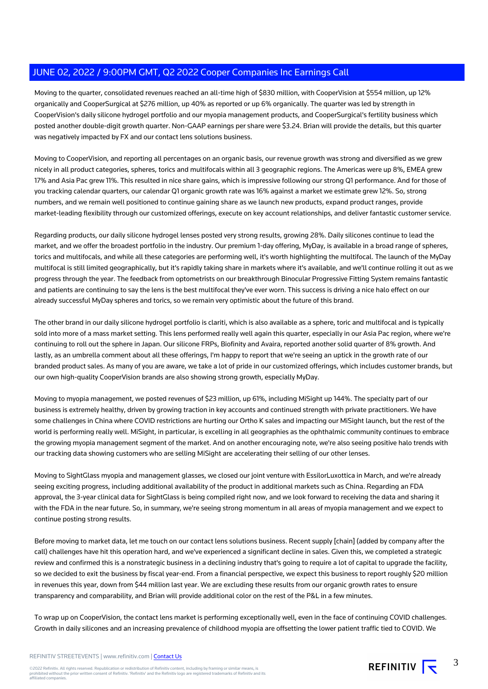Moving to the quarter, consolidated revenues reached an all-time high of \$830 million, with CooperVision at \$554 million, up 12% organically and CooperSurgical at \$276 million, up 40% as reported or up 6% organically. The quarter was led by strength in CooperVision's daily silicone hydrogel portfolio and our myopia management products, and CooperSurgical's fertility business which posted another double-digit growth quarter. Non-GAAP earnings per share were \$3.24. Brian will provide the details, but this quarter was negatively impacted by FX and our contact lens solutions business.

Moving to CooperVision, and reporting all percentages on an organic basis, our revenue growth was strong and diversified as we grew nicely in all product categories, spheres, torics and multifocals within all 3 geographic regions. The Americas were up 8%, EMEA grew 17% and Asia Pac grew 11%. This resulted in nice share gains, which is impressive following our strong Q1 performance. And for those of you tracking calendar quarters, our calendar Q1 organic growth rate was 16% against a market we estimate grew 12%. So, strong numbers, and we remain well positioned to continue gaining share as we launch new products, expand product ranges, provide market-leading flexibility through our customized offerings, execute on key account relationships, and deliver fantastic customer service.

Regarding products, our daily silicone hydrogel lenses posted very strong results, growing 28%. Daily silicones continue to lead the market, and we offer the broadest portfolio in the industry. Our premium 1-day offering, MyDay, is available in a broad range of spheres, torics and multifocals, and while all these categories are performing well, it's worth highlighting the multifocal. The launch of the MyDay multifocal is still limited geographically, but it's rapidly taking share in markets where it's available, and we'll continue rolling it out as we progress through the year. The feedback from optometrists on our breakthrough Binocular Progressive Fitting System remains fantastic and patients are continuing to say the lens is the best multifocal they've ever worn. This success is driving a nice halo effect on our already successful MyDay spheres and torics, so we remain very optimistic about the future of this brand.

The other brand in our daily silicone hydrogel portfolio is clariti, which is also available as a sphere, toric and multifocal and is typically sold into more of a mass market setting. This lens performed really well again this quarter, especially in our Asia Pac region, where we're continuing to roll out the sphere in Japan. Our silicone FRPs, Biofinity and Avaira, reported another solid quarter of 8% growth. And lastly, as an umbrella comment about all these offerings, I'm happy to report that we're seeing an uptick in the growth rate of our branded product sales. As many of you are aware, we take a lot of pride in our customized offerings, which includes customer brands, but our own high-quality CooperVision brands are also showing strong growth, especially MyDay.

Moving to myopia management, we posted revenues of \$23 million, up 61%, including MiSight up 144%. The specialty part of our business is extremely healthy, driven by growing traction in key accounts and continued strength with private practitioners. We have some challenges in China where COVID restrictions are hurting our Ortho K sales and impacting our MiSight launch, but the rest of the world is performing really well. MiSight, in particular, is excelling in all geographies as the ophthalmic community continues to embrace the growing myopia management segment of the market. And on another encouraging note, we're also seeing positive halo trends with our tracking data showing customers who are selling MiSight are accelerating their selling of our other lenses.

Moving to SightGlass myopia and management glasses, we closed our joint venture with EssilorLuxottica in March, and we're already seeing exciting progress, including additional availability of the product in additional markets such as China. Regarding an FDA approval, the 3-year clinical data for SightGlass is being compiled right now, and we look forward to receiving the data and sharing it with the FDA in the near future. So, in summary, we're seeing strong momentum in all areas of myopia management and we expect to continue posting strong results.

Before moving to market data, let me touch on our contact lens solutions business. Recent supply [chain] (added by company after the call) challenges have hit this operation hard, and we've experienced a significant decline in sales. Given this, we completed a strategic review and confirmed this is a nonstrategic business in a declining industry that's going to require a lot of capital to upgrade the facility, so we decided to exit the business by fiscal year-end. From a financial perspective, we expect this business to report roughly \$20 million in revenues this year, down from \$44 million last year. We are excluding these results from our organic growth rates to ensure transparency and comparability, and Brian will provide additional color on the rest of the P&L in a few minutes.

To wrap up on CooperVision, the contact lens market is performing exceptionally well, even in the face of continuing COVID challenges. Growth in daily silicones and an increasing prevalence of childhood myopia are offsetting the lower patient traffic tied to COVID. We

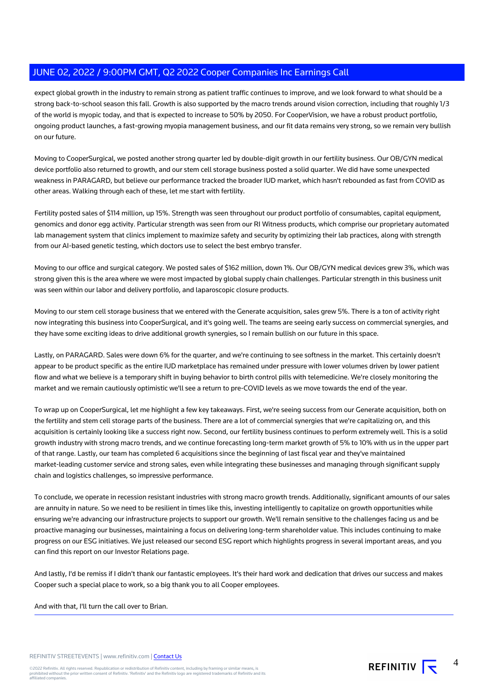expect global growth in the industry to remain strong as patient traffic continues to improve, and we look forward to what should be a strong back-to-school season this fall. Growth is also supported by the macro trends around vision correction, including that roughly 1/3 of the world is myopic today, and that is expected to increase to 50% by 2050. For CooperVision, we have a robust product portfolio, ongoing product launches, a fast-growing myopia management business, and our fit data remains very strong, so we remain very bullish on our future.

Moving to CooperSurgical, we posted another strong quarter led by double-digit growth in our fertility business. Our OB/GYN medical device portfolio also returned to growth, and our stem cell storage business posted a solid quarter. We did have some unexpected weakness in PARAGARD, but believe our performance tracked the broader IUD market, which hasn't rebounded as fast from COVID as other areas. Walking through each of these, let me start with fertility.

Fertility posted sales of \$114 million, up 15%. Strength was seen throughout our product portfolio of consumables, capital equipment, genomics and donor egg activity. Particular strength was seen from our RI Witness products, which comprise our proprietary automated lab management system that clinics implement to maximize safety and security by optimizing their lab practices, along with strength from our AI-based genetic testing, which doctors use to select the best embryo transfer.

Moving to our office and surgical category. We posted sales of \$162 million, down 1%. Our OB/GYN medical devices grew 3%, which was strong given this is the area where we were most impacted by global supply chain challenges. Particular strength in this business unit was seen within our labor and delivery portfolio, and laparoscopic closure products.

Moving to our stem cell storage business that we entered with the Generate acquisition, sales grew 5%. There is a ton of activity right now integrating this business into CooperSurgical, and it's going well. The teams are seeing early success on commercial synergies, and they have some exciting ideas to drive additional growth synergies, so I remain bullish on our future in this space.

Lastly, on PARAGARD. Sales were down 6% for the quarter, and we're continuing to see softness in the market. This certainly doesn't appear to be product specific as the entire IUD marketplace has remained under pressure with lower volumes driven by lower patient flow and what we believe is a temporary shift in buying behavior to birth control pills with telemedicine. We're closely monitoring the market and we remain cautiously optimistic we'll see a return to pre-COVID levels as we move towards the end of the year.

To wrap up on CooperSurgical, let me highlight a few key takeaways. First, we're seeing success from our Generate acquisition, both on the fertility and stem cell storage parts of the business. There are a lot of commercial synergies that we're capitalizing on, and this acquisition is certainly looking like a success right now. Second, our fertility business continues to perform extremely well. This is a solid growth industry with strong macro trends, and we continue forecasting long-term market growth of 5% to 10% with us in the upper part of that range. Lastly, our team has completed 6 acquisitions since the beginning of last fiscal year and they've maintained market-leading customer service and strong sales, even while integrating these businesses and managing through significant supply chain and logistics challenges, so impressive performance.

To conclude, we operate in recession resistant industries with strong macro growth trends. Additionally, significant amounts of our sales are annuity in nature. So we need to be resilient in times like this, investing intelligently to capitalize on growth opportunities while ensuring we're advancing our infrastructure projects to support our growth. We'll remain sensitive to the challenges facing us and be proactive managing our businesses, maintaining a focus on delivering long-term shareholder value. This includes continuing to make progress on our ESG initiatives. We just released our second ESG report which highlights progress in several important areas, and you can find this report on our Investor Relations page.

And lastly, I'd be remiss if I didn't thank our fantastic employees. It's their hard work and dedication that drives our success and makes Cooper such a special place to work, so a big thank you to all Cooper employees.

And with that, I'll turn the call over to Brian.



4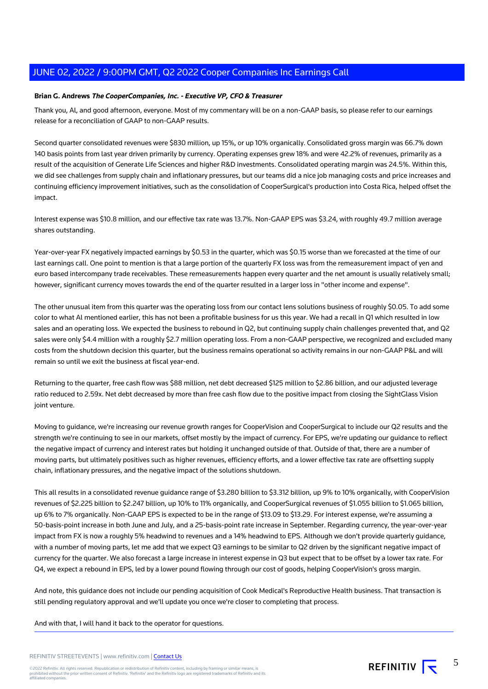#### **Brian G. Andrews The CooperCompanies, Inc. - Executive VP, CFO & Treasurer**

Thank you, Al, and good afternoon, everyone. Most of my commentary will be on a non-GAAP basis, so please refer to our earnings release for a reconciliation of GAAP to non-GAAP results.

Second quarter consolidated revenues were \$830 million, up 15%, or up 10% organically. Consolidated gross margin was 66.7% down 140 basis points from last year driven primarily by currency. Operating expenses grew 18% and were 42.2% of revenues, primarily as a result of the acquisition of Generate Life Sciences and higher R&D investments. Consolidated operating margin was 24.5%. Within this, we did see challenges from supply chain and inflationary pressures, but our teams did a nice job managing costs and price increases and continuing efficiency improvement initiatives, such as the consolidation of CooperSurgical's production into Costa Rica, helped offset the impact.

Interest expense was \$10.8 million, and our effective tax rate was 13.7%. Non-GAAP EPS was \$3.24, with roughly 49.7 million average shares outstanding.

Year-over-year FX negatively impacted earnings by \$0.53 in the quarter, which was \$0.15 worse than we forecasted at the time of our last earnings call. One point to mention is that a large portion of the quarterly FX loss was from the remeasurement impact of yen and euro based intercompany trade receivables. These remeasurements happen every quarter and the net amount is usually relatively small; however, significant currency moves towards the end of the quarter resulted in a larger loss in "other income and expense".

The other unusual item from this quarter was the operating loss from our contact lens solutions business of roughly \$0.05. To add some color to what Al mentioned earlier, this has not been a profitable business for us this year. We had a recall in Q1 which resulted in low sales and an operating loss. We expected the business to rebound in Q2, but continuing supply chain challenges prevented that, and Q2 sales were only \$4.4 million with a roughly \$2.7 million operating loss. From a non-GAAP perspective, we recognized and excluded many costs from the shutdown decision this quarter, but the business remains operational so activity remains in our non-GAAP P&L and will remain so until we exit the business at fiscal year-end.

Returning to the quarter, free cash flow was \$88 million, net debt decreased \$125 million to \$2.86 billion, and our adjusted leverage ratio reduced to 2.59x. Net debt decreased by more than free cash flow due to the positive impact from closing the SightGlass Vision joint venture.

Moving to guidance, we're increasing our revenue growth ranges for CooperVision and CooperSurgical to include our Q2 results and the strength we're continuing to see in our markets, offset mostly by the impact of currency. For EPS, we're updating our guidance to reflect the negative impact of currency and interest rates but holding it unchanged outside of that. Outside of that, there are a number of moving parts, but ultimately positives such as higher revenues, efficiency efforts, and a lower effective tax rate are offsetting supply chain, inflationary pressures, and the negative impact of the solutions shutdown.

This all results in a consolidated revenue guidance range of \$3.280 billion to \$3.312 billion, up 9% to 10% organically, with CooperVision revenues of \$2.225 billion to \$2.247 billion, up 10% to 11% organically, and CooperSurgical revenues of \$1.055 billion to \$1.065 billion, up 6% to 7% organically. Non-GAAP EPS is expected to be in the range of \$13.09 to \$13.29. For interest expense, we're assuming a 50-basis-point increase in both June and July, and a 25-basis-point rate increase in September. Regarding currency, the year-over-year impact from FX is now a roughly 5% headwind to revenues and a 14% headwind to EPS. Although we don't provide quarterly guidance, with a number of moving parts, let me add that we expect Q3 earnings to be similar to Q2 driven by the significant negative impact of currency for the quarter. We also forecast a large increase in interest expense in Q3 but expect that to be offset by a lower tax rate. For Q4, we expect a rebound in EPS, led by a lower pound flowing through our cost of goods, helping CooperVision's gross margin.

And note, this guidance does not include our pending acquisition of Cook Medical's Reproductive Health business. That transaction is still pending regulatory approval and we'll update you once we're closer to completing that process.

And with that, I will hand it back to the operator for questions.

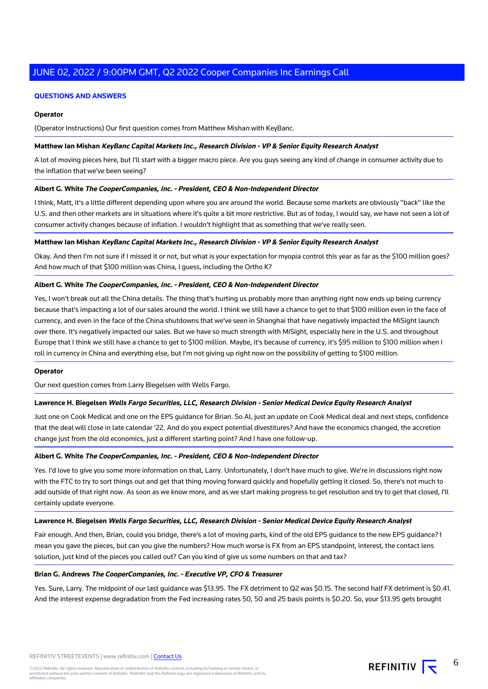#### **QUESTIONS AND ANSWERS**

#### **Operator**

(Operator Instructions) Our first question comes from Matthew Mishan with KeyBanc.

#### **Matthew Ian Mishan KeyBanc Capital Markets Inc., Research Division - VP & Senior Equity Research Analyst**

A lot of moving pieces here, but I'll start with a bigger macro piece. Are you guys seeing any kind of change in consumer activity due to the inflation that we've been seeing?

#### **Albert G. White The CooperCompanies, Inc. - President, CEO & Non-Independent Director**

I think, Matt, it's a little different depending upon where you are around the world. Because some markets are obviously "back" like the U.S. and then other markets are in situations where it's quite a bit more restrictive. But as of today, I would say, we have not seen a lot of consumer activity changes because of inflation. I wouldn't highlight that as something that we've really seen.

#### **Matthew Ian Mishan KeyBanc Capital Markets Inc., Research Division - VP & Senior Equity Research Analyst**

Okay. And then I'm not sure if I missed it or not, but what is your expectation for myopia control this year as far as the \$100 million goes? And how much of that \$100 million was China, I guess, including the Ortho K?

#### **Albert G. White The CooperCompanies, Inc. - President, CEO & Non-Independent Director**

Yes, I won't break out all the China details. The thing that's hurting us probably more than anything right now ends up being currency because that's impacting a lot of our sales around the world. I think we still have a chance to get to that \$100 million even in the face of currency, and even in the face of the China shutdowns that we've seen in Shanghai that have negatively impacted the MiSight launch over there. It's negatively impacted our sales. But we have so much strength with MiSight, especially here in the U.S. and throughout Europe that I think we still have a chance to get to \$100 million. Maybe, it's because of currency, it's \$95 million to \$100 million when I roll in currency in China and everything else, but I'm not giving up right now on the possibility of getting to \$100 million.

#### **Operator**

Our next question comes from Larry Biegelsen with Wells Fargo.

#### **Lawrence H. Biegelsen Wells Fargo Securities, LLC, Research Division - Senior Medical Device Equity Research Analyst**

Just one on Cook Medical and one on the EPS guidance for Brian. So Al, just an update on Cook Medical deal and next steps, confidence that the deal will close in late calendar '22. And do you expect potential divestitures? And have the economics changed, the accretion change just from the old economics, just a different starting point? And I have one follow-up.

#### **Albert G. White The CooperCompanies, Inc. - President, CEO & Non-Independent Director**

Yes. I'd love to give you some more information on that, Larry. Unfortunately, I don't have much to give. We're in discussions right now with the FTC to try to sort things out and get that thing moving forward quickly and hopefully getting it closed. So, there's not much to add outside of that right now. As soon as we know more, and as we start making progress to get resolution and try to get that closed, I'll certainly update everyone.

#### **Lawrence H. Biegelsen Wells Fargo Securities, LLC, Research Division - Senior Medical Device Equity Research Analyst**

Fair enough. And then, Brian, could you bridge, there's a lot of moving parts, kind of the old EPS guidance to the new EPS guidance? I mean you gave the pieces, but can you give the numbers? How much worse is FX from an EPS standpoint, interest, the contact lens solution, just kind of the pieces you called out? Can you kind of give us some numbers on that and tax?

#### **Brian G. Andrews The CooperCompanies, Inc. - Executive VP, CFO & Treasurer**

Yes. Sure, Larry. The midpoint of our last guidance was \$13.95. The FX detriment to Q2 was \$0.15. The second half FX detriment is \$0.41. And the interest expense degradation from the Fed increasing rates 50, 50 and 25 basis points is \$0.20. So, your \$13.95 gets brought

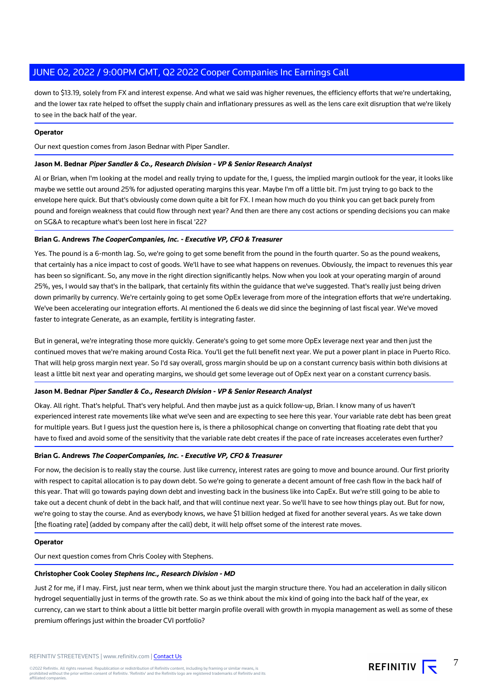down to \$13.19, solely from FX and interest expense. And what we said was higher revenues, the efficiency efforts that we're undertaking, and the lower tax rate helped to offset the supply chain and inflationary pressures as well as the lens care exit disruption that we're likely to see in the back half of the year.

#### **Operator**

Our next question comes from Jason Bednar with Piper Sandler.

#### **Jason M. Bednar Piper Sandler & Co., Research Division - VP & Senior Research Analyst**

Al or Brian, when I'm looking at the model and really trying to update for the, I guess, the implied margin outlook for the year, it looks like maybe we settle out around 25% for adjusted operating margins this year. Maybe I'm off a little bit. I'm just trying to go back to the envelope here quick. But that's obviously come down quite a bit for FX. I mean how much do you think you can get back purely from pound and foreign weakness that could flow through next year? And then are there any cost actions or spending decisions you can make on SG&A to recapture what's been lost here in fiscal '22?

#### **Brian G. Andrews The CooperCompanies, Inc. - Executive VP, CFO & Treasurer**

Yes. The pound is a 6-month lag. So, we're going to get some benefit from the pound in the fourth quarter. So as the pound weakens, that certainly has a nice impact to cost of goods. We'll have to see what happens on revenues. Obviously, the impact to revenues this year has been so significant. So, any move in the right direction significantly helps. Now when you look at your operating margin of around 25%, yes, I would say that's in the ballpark, that certainly fits within the guidance that we've suggested. That's really just being driven down primarily by currency. We're certainly going to get some OpEx leverage from more of the integration efforts that we're undertaking. We've been accelerating our integration efforts. Al mentioned the 6 deals we did since the beginning of last fiscal year. We've moved faster to integrate Generate, as an example, fertility is integrating faster.

But in general, we're integrating those more quickly. Generate's going to get some more OpEx leverage next year and then just the continued moves that we're making around Costa Rica. You'll get the full benefit next year. We put a power plant in place in Puerto Rico. That will help gross margin next year. So I'd say overall, gross margin should be up on a constant currency basis within both divisions at least a little bit next year and operating margins, we should get some leverage out of OpEx next year on a constant currency basis.

#### **Jason M. Bednar Piper Sandler & Co., Research Division - VP & Senior Research Analyst**

Okay. All right. That's helpful. That's very helpful. And then maybe just as a quick follow-up, Brian. I know many of us haven't experienced interest rate movements like what we've seen and are expecting to see here this year. Your variable rate debt has been great for multiple years. But I guess just the question here is, is there a philosophical change on converting that floating rate debt that you have to fixed and avoid some of the sensitivity that the variable rate debt creates if the pace of rate increases accelerates even further?

#### **Brian G. Andrews The CooperCompanies, Inc. - Executive VP, CFO & Treasurer**

For now, the decision is to really stay the course. Just like currency, interest rates are going to move and bounce around. Our first priority with respect to capital allocation is to pay down debt. So we're going to generate a decent amount of free cash flow in the back half of this year. That will go towards paying down debt and investing back in the business like into CapEx. But we're still going to be able to take out a decent chunk of debt in the back half, and that will continue next year. So we'll have to see how things play out. But for now, we're going to stay the course. And as everybody knows, we have \$1 billion hedged at fixed for another several years. As we take down [the floating rate] (added by company after the call) debt, it will help offset some of the interest rate moves.

#### **Operator**

Our next question comes from Chris Cooley with Stephens.

#### **Christopher Cook Cooley Stephens Inc., Research Division - MD**

Just 2 for me, if I may. First, just near term, when we think about just the margin structure there. You had an acceleration in daily silicon hydrogel sequentially just in terms of the growth rate. So as we think about the mix kind of going into the back half of the year, ex currency, can we start to think about a little bit better margin profile overall with growth in myopia management as well as some of these premium offerings just within the broader CVI portfolio?

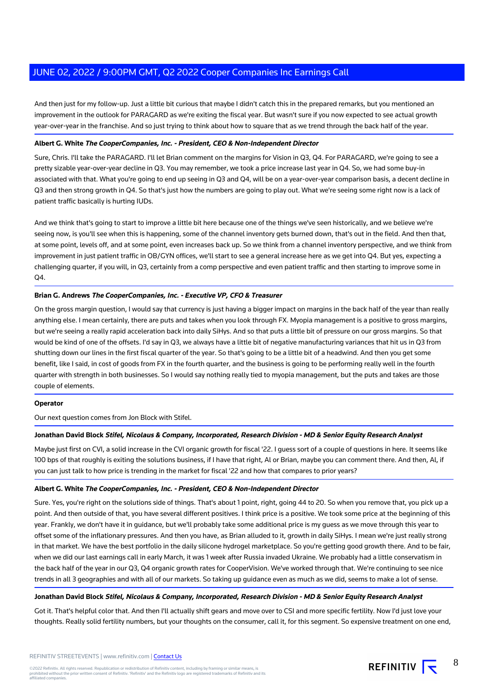And then just for my follow-up. Just a little bit curious that maybe I didn't catch this in the prepared remarks, but you mentioned an improvement in the outlook for PARAGARD as we're exiting the fiscal year. But wasn't sure if you now expected to see actual growth year-over-year in the franchise. And so just trying to think about how to square that as we trend through the back half of the year.

#### **Albert G. White The CooperCompanies, Inc. - President, CEO & Non-Independent Director**

Sure, Chris. I'll take the PARAGARD. I'll let Brian comment on the margins for Vision in Q3, Q4. For PARAGARD, we're going to see a pretty sizable year-over-year decline in Q3. You may remember, we took a price increase last year in Q4. So, we had some buy-in associated with that. What you're going to end up seeing in Q3 and Q4, will be on a year-over-year comparison basis, a decent decline in Q3 and then strong growth in Q4. So that's just how the numbers are going to play out. What we're seeing some right now is a lack of patient traffic basically is hurting IUDs.

And we think that's going to start to improve a little bit here because one of the things we've seen historically, and we believe we're seeing now, is you'll see when this is happening, some of the channel inventory gets burned down, that's out in the field. And then that, at some point, levels off, and at some point, even increases back up. So we think from a channel inventory perspective, and we think from improvement in just patient traffic in OB/GYN offices, we'll start to see a general increase here as we get into Q4. But yes, expecting a challenging quarter, if you will, in Q3, certainly from a comp perspective and even patient traffic and then starting to improve some in Q4.

### **Brian G. Andrews The CooperCompanies, Inc. - Executive VP, CFO & Treasurer**

On the gross margin question, I would say that currency is just having a bigger impact on margins in the back half of the year than really anything else. I mean certainly, there are puts and takes when you look through FX. Myopia management is a positive to gross margins, but we're seeing a really rapid acceleration back into daily SiHys. And so that puts a little bit of pressure on our gross margins. So that would be kind of one of the offsets. I'd say in Q3, we always have a little bit of negative manufacturing variances that hit us in Q3 from shutting down our lines in the first fiscal quarter of the year. So that's going to be a little bit of a headwind. And then you get some benefit, like I said, in cost of goods from FX in the fourth quarter, and the business is going to be performing really well in the fourth quarter with strength in both businesses. So I would say nothing really tied to myopia management, but the puts and takes are those couple of elements.

#### **Operator**

Our next question comes from Jon Block with Stifel.

#### **Jonathan David Block Stifel, Nicolaus & Company, Incorporated, Research Division - MD & Senior Equity Research Analyst**

Maybe just first on CVI, a solid increase in the CVI organic growth for fiscal '22. I guess sort of a couple of questions in here. It seems like 100 bps of that roughly is exiting the solutions business, if I have that right, Al or Brian, maybe you can comment there. And then, Al, if you can just talk to how price is trending in the market for fiscal '22 and how that compares to prior years?

#### **Albert G. White The CooperCompanies, Inc. - President, CEO & Non-Independent Director**

Sure. Yes, you're right on the solutions side of things. That's about 1 point, right, going 44 to 20. So when you remove that, you pick up a point. And then outside of that, you have several different positives. I think price is a positive. We took some price at the beginning of this year. Frankly, we don't have it in guidance, but we'll probably take some additional price is my guess as we move through this year to offset some of the inflationary pressures. And then you have, as Brian alluded to it, growth in daily SiHys. I mean we're just really strong in that market. We have the best portfolio in the daily silicone hydrogel marketplace. So you're getting good growth there. And to be fair, when we did our last earnings call in early March, it was 1 week after Russia invaded Ukraine. We probably had a little conservatism in the back half of the year in our Q3, Q4 organic growth rates for CooperVision. We've worked through that. We're continuing to see nice trends in all 3 geographies and with all of our markets. So taking up guidance even as much as we did, seems to make a lot of sense.

#### **Jonathan David Block Stifel, Nicolaus & Company, Incorporated, Research Division - MD & Senior Equity Research Analyst**

Got it. That's helpful color that. And then I'll actually shift gears and move over to CSI and more specific fertility. Now I'd just love your thoughts. Really solid fertility numbers, but your thoughts on the consumer, call it, for this segment. So expensive treatment on one end,

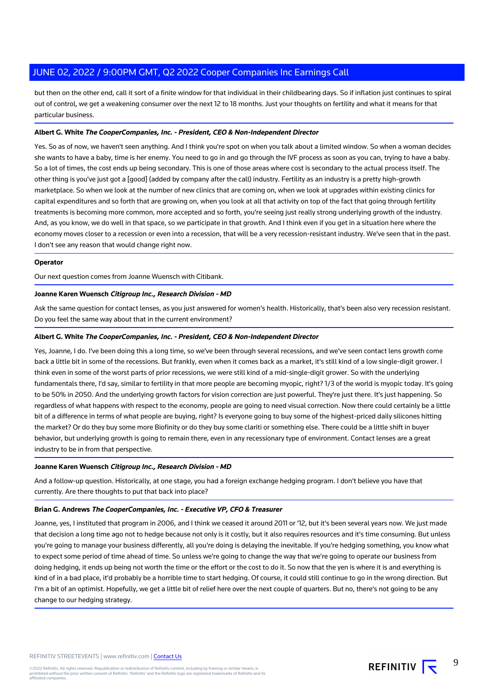but then on the other end, call it sort of a finite window for that individual in their childbearing days. So if inflation just continues to spiral out of control, we get a weakening consumer over the next 12 to 18 months. Just your thoughts on fertility and what it means for that particular business.

#### **Albert G. White The CooperCompanies, Inc. - President, CEO & Non-Independent Director**

Yes. So as of now, we haven't seen anything. And I think you're spot on when you talk about a limited window. So when a woman decides she wants to have a baby, time is her enemy. You need to go in and go through the IVF process as soon as you can, trying to have a baby. So a lot of times, the cost ends up being secondary. This is one of those areas where cost is secondary to the actual process itself. The other thing is you've just got a [good] (added by company after the call) industry. Fertility as an industry is a pretty high-growth marketplace. So when we look at the number of new clinics that are coming on, when we look at upgrades within existing clinics for capital expenditures and so forth that are growing on, when you look at all that activity on top of the fact that going through fertility treatments is becoming more common, more accepted and so forth, you're seeing just really strong underlying growth of the industry. And, as you know, we do well in that space, so we participate in that growth. And I think even if you get in a situation here where the economy moves closer to a recession or even into a recession, that will be a very recession-resistant industry. We've seen that in the past. I don't see any reason that would change right now.

#### **Operator**

Our next question comes from Joanne Wuensch with Citibank.

#### **Joanne Karen Wuensch Citigroup Inc., Research Division - MD**

Ask the same question for contact lenses, as you just answered for women's health. Historically, that's been also very recession resistant. Do you feel the same way about that in the current environment?

#### **Albert G. White The CooperCompanies, Inc. - President, CEO & Non-Independent Director**

Yes, Joanne, I do. I've been doing this a long time, so we've been through several recessions, and we've seen contact lens growth come back a little bit in some of the recessions. But frankly, even when it comes back as a market, it's still kind of a low single-digit grower. I think even in some of the worst parts of prior recessions, we were still kind of a mid-single-digit grower. So with the underlying fundamentals there, I'd say, similar to fertility in that more people are becoming myopic, right? 1/3 of the world is myopic today. It's going to be 50% in 2050. And the underlying growth factors for vision correction are just powerful. They're just there. It's just happening. So regardless of what happens with respect to the economy, people are going to need visual correction. Now there could certainly be a little bit of a difference in terms of what people are buying, right? Is everyone going to buy some of the highest-priced daily silicones hitting the market? Or do they buy some more Biofinity or do they buy some clariti or something else. There could be a little shift in buyer behavior, but underlying growth is going to remain there, even in any recessionary type of environment. Contact lenses are a great industry to be in from that perspective.

#### **Joanne Karen Wuensch Citigroup Inc., Research Division - MD**

And a follow-up question. Historically, at one stage, you had a foreign exchange hedging program. I don't believe you have that currently. Are there thoughts to put that back into place?

#### **Brian G. Andrews The CooperCompanies, Inc. - Executive VP, CFO & Treasurer**

Joanne, yes, I instituted that program in 2006, and I think we ceased it around 2011 or '12, but it's been several years now. We just made that decision a long time ago not to hedge because not only is it costly, but it also requires resources and it's time consuming. But unless you're going to manage your business differently, all you're doing is delaying the inevitable. If you're hedging something, you know what to expect some period of time ahead of time. So unless we're going to change the way that we're going to operate our business from doing hedging, it ends up being not worth the time or the effort or the cost to do it. So now that the yen is where it is and everything is kind of in a bad place, it'd probably be a horrible time to start hedging. Of course, it could still continue to go in the wrong direction. But I'm a bit of an optimist. Hopefully, we get a little bit of relief here over the next couple of quarters. But no, there's not going to be any change to our hedging strategy.



9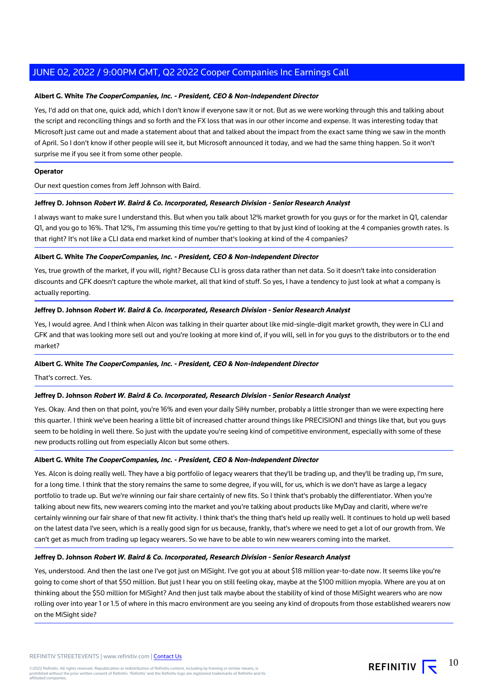#### **Albert G. White The CooperCompanies, Inc. - President, CEO & Non-Independent Director**

Yes, I'd add on that one, quick add, which I don't know if everyone saw it or not. But as we were working through this and talking about the script and reconciling things and so forth and the FX loss that was in our other income and expense. It was interesting today that Microsoft just came out and made a statement about that and talked about the impact from the exact same thing we saw in the month of April. So I don't know if other people will see it, but Microsoft announced it today, and we had the same thing happen. So it won't surprise me if you see it from some other people.

#### **Operator**

Our next question comes from Jeff Johnson with Baird.

#### **Jeffrey D. Johnson Robert W. Baird & Co. Incorporated, Research Division - Senior Research Analyst**

I always want to make sure I understand this. But when you talk about 12% market growth for you guys or for the market in Q1, calendar Q1, and you go to 16%. That 12%, I'm assuming this time you're getting to that by just kind of looking at the 4 companies growth rates. Is that right? It's not like a CLI data end market kind of number that's looking at kind of the 4 companies?

#### **Albert G. White The CooperCompanies, Inc. - President, CEO & Non-Independent Director**

Yes, true growth of the market, if you will, right? Because CLI is gross data rather than net data. So it doesn't take into consideration discounts and GFK doesn't capture the whole market, all that kind of stuff. So yes, I have a tendency to just look at what a company is actually reporting.

#### **Jeffrey D. Johnson Robert W. Baird & Co. Incorporated, Research Division - Senior Research Analyst**

Yes, I would agree. And I think when Alcon was talking in their quarter about like mid-single-digit market growth, they were in CLI and GFK and that was looking more sell out and you're looking at more kind of, if you will, sell in for you guys to the distributors or to the end market?

#### **Albert G. White The CooperCompanies, Inc. - President, CEO & Non-Independent Director**

That's correct. Yes.

#### **Jeffrey D. Johnson Robert W. Baird & Co. Incorporated, Research Division - Senior Research Analyst**

Yes. Okay. And then on that point, you're 16% and even your daily SiHy number, probably a little stronger than we were expecting here this quarter. I think we've been hearing a little bit of increased chatter around things like PRECISION1 and things like that, but you guys seem to be holding in well there. So just with the update you're seeing kind of competitive environment, especially with some of these new products rolling out from especially Alcon but some others.

#### **Albert G. White The CooperCompanies, Inc. - President, CEO & Non-Independent Director**

Yes. Alcon is doing really well. They have a big portfolio of legacy wearers that they'll be trading up, and they'll be trading up, I'm sure, for a long time. I think that the story remains the same to some degree, if you will, for us, which is we don't have as large a legacy portfolio to trade up. But we're winning our fair share certainly of new fits. So I think that's probably the differentiator. When you're talking about new fits, new wearers coming into the market and you're talking about products like MyDay and clariti, where we're certainly winning our fair share of that new fit activity. I think that's the thing that's held up really well. It continues to hold up well based on the latest data I've seen, which is a really good sign for us because, frankly, that's where we need to get a lot of our growth from. We can't get as much from trading up legacy wearers. So we have to be able to win new wearers coming into the market.

#### **Jeffrey D. Johnson Robert W. Baird & Co. Incorporated, Research Division - Senior Research Analyst**

Yes, understood. And then the last one I've got just on MiSight. I've got you at about \$18 million year-to-date now. It seems like you're going to come short of that \$50 million. But just I hear you on still feeling okay, maybe at the \$100 million myopia. Where are you at on thinking about the \$50 million for MiSight? And then just talk maybe about the stability of kind of those MiSight wearers who are now rolling over into year 1 or 1.5 of where in this macro environment are you seeing any kind of dropouts from those established wearers now on the MiSight side?

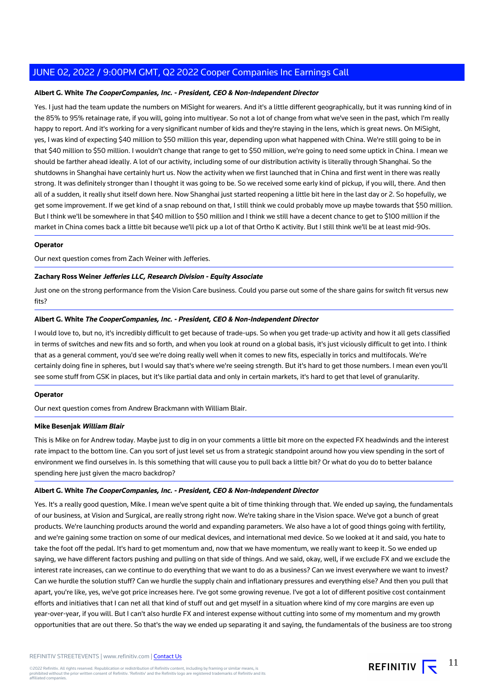#### **Albert G. White The CooperCompanies, Inc. - President, CEO & Non-Independent Director**

Yes. I just had the team update the numbers on MiSight for wearers. And it's a little different geographically, but it was running kind of in the 85% to 95% retainage rate, if you will, going into multiyear. So not a lot of change from what we've seen in the past, which I'm really happy to report. And it's working for a very significant number of kids and they're staying in the lens, which is great news. On MiSight, yes, I was kind of expecting \$40 million to \$50 million this year, depending upon what happened with China. We're still going to be in that \$40 million to \$50 million. I wouldn't change that range to get to \$50 million, we're going to need some uptick in China. I mean we should be farther ahead ideally. A lot of our activity, including some of our distribution activity is literally through Shanghai. So the shutdowns in Shanghai have certainly hurt us. Now the activity when we first launched that in China and first went in there was really strong. It was definitely stronger than I thought it was going to be. So we received some early kind of pickup, if you will, there. And then all of a sudden, it really shut itself down here. Now Shanghai just started reopening a little bit here in the last day or 2. So hopefully, we get some improvement. If we get kind of a snap rebound on that, I still think we could probably move up maybe towards that \$50 million. But I think we'll be somewhere in that \$40 million to \$50 million and I think we still have a decent chance to get to \$100 million if the market in China comes back a little bit because we'll pick up a lot of that Ortho K activity. But I still think we'll be at least mid-90s.

#### **Operator**

Our next question comes from Zach Weiner with Jefferies.

#### **Zachary Ross Weiner Jefferies LLC, Research Division - Equity Associate**

Just one on the strong performance from the Vision Care business. Could you parse out some of the share gains for switch fit versus new fits?

#### **Albert G. White The CooperCompanies, Inc. - President, CEO & Non-Independent Director**

I would love to, but no, it's incredibly difficult to get because of trade-ups. So when you get trade-up activity and how it all gets classified in terms of switches and new fits and so forth, and when you look at round on a global basis, it's just viciously difficult to get into. I think that as a general comment, you'd see we're doing really well when it comes to new fits, especially in torics and multifocals. We're certainly doing fine in spheres, but I would say that's where we're seeing strength. But it's hard to get those numbers. I mean even you'll see some stuff from GSK in places, but it's like partial data and only in certain markets, it's hard to get that level of granularity.

#### **Operator**

Our next question comes from Andrew Brackmann with William Blair.

#### **Mike Besenjak William Blair**

This is Mike on for Andrew today. Maybe just to dig in on your comments a little bit more on the expected FX headwinds and the interest rate impact to the bottom line. Can you sort of just level set us from a strategic standpoint around how you view spending in the sort of environment we find ourselves in. Is this something that will cause you to pull back a little bit? Or what do you do to better balance spending here just given the macro backdrop?

#### **Albert G. White The CooperCompanies, Inc. - President, CEO & Non-Independent Director**

Yes. It's a really good question, Mike. I mean we've spent quite a bit of time thinking through that. We ended up saying, the fundamentals of our business, at Vision and Surgical, are really strong right now. We're taking share in the Vision space. We've got a bunch of great products. We're launching products around the world and expanding parameters. We also have a lot of good things going with fertility, and we're gaining some traction on some of our medical devices, and international med device. So we looked at it and said, you hate to take the foot off the pedal. It's hard to get momentum and, now that we have momentum, we really want to keep it. So we ended up saying, we have different factors pushing and pulling on that side of things. And we said, okay, well, if we exclude FX and we exclude the interest rate increases, can we continue to do everything that we want to do as a business? Can we invest everywhere we want to invest? Can we hurdle the solution stuff? Can we hurdle the supply chain and inflationary pressures and everything else? And then you pull that apart, you're like, yes, we've got price increases here. I've got some growing revenue. I've got a lot of different positive cost containment efforts and initiatives that I can net all that kind of stuff out and get myself in a situation where kind of my core margins are even up year-over-year, if you will. But I can't also hurdle FX and interest expense without cutting into some of my momentum and my growth opportunities that are out there. So that's the way we ended up separating it and saying, the fundamentals of the business are too strong

11

REFINITIV  $\overline{\mathbf{r}}$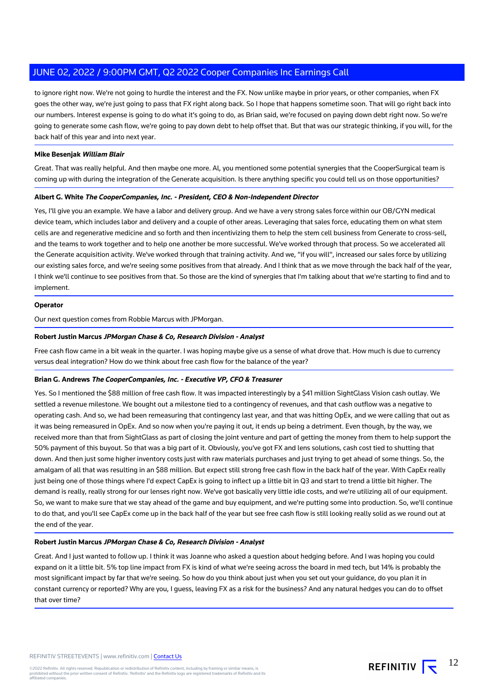to ignore right now. We're not going to hurdle the interest and the FX. Now unlike maybe in prior years, or other companies, when FX goes the other way, we're just going to pass that FX right along back. So I hope that happens sometime soon. That will go right back into our numbers. Interest expense is going to do what it's going to do, as Brian said, we're focused on paying down debt right now. So we're going to generate some cash flow, we're going to pay down debt to help offset that. But that was our strategic thinking, if you will, for the back half of this year and into next year.

#### **Mike Besenjak William Blair**

Great. That was really helpful. And then maybe one more. Al, you mentioned some potential synergies that the CooperSurgical team is coming up with during the integration of the Generate acquisition. Is there anything specific you could tell us on those opportunities?

#### **Albert G. White The CooperCompanies, Inc. - President, CEO & Non-Independent Director**

Yes, I'll give you an example. We have a labor and delivery group. And we have a very strong sales force within our OB/GYN medical device team, which includes labor and delivery and a couple of other areas. Leveraging that sales force, educating them on what stem cells are and regenerative medicine and so forth and then incentivizing them to help the stem cell business from Generate to cross-sell, and the teams to work together and to help one another be more successful. We've worked through that process. So we accelerated all the Generate acquisition activity. We've worked through that training activity. And we, "if you will", increased our sales force by utilizing our existing sales force, and we're seeing some positives from that already. And I think that as we move through the back half of the year, I think we'll continue to see positives from that. So those are the kind of synergies that I'm talking about that we're starting to find and to implement.

#### **Operator**

Our next question comes from Robbie Marcus with JPMorgan.

#### **Robert Justin Marcus JPMorgan Chase & Co, Research Division - Analyst**

Free cash flow came in a bit weak in the quarter. I was hoping maybe give us a sense of what drove that. How much is due to currency versus deal integration? How do we think about free cash flow for the balance of the year?

#### **Brian G. Andrews The CooperCompanies, Inc. - Executive VP, CFO & Treasurer**

Yes. So I mentioned the \$88 million of free cash flow. It was impacted interestingly by a \$41 million SightGlass Vision cash outlay. We settled a revenue milestone. We bought out a milestone tied to a contingency of revenues, and that cash outflow was a negative to operating cash. And so, we had been remeasuring that contingency last year, and that was hitting OpEx, and we were calling that out as it was being remeasured in OpEx. And so now when you're paying it out, it ends up being a detriment. Even though, by the way, we received more than that from SightGlass as part of closing the joint venture and part of getting the money from them to help support the 50% payment of this buyout. So that was a big part of it. Obviously, you've got FX and lens solutions, cash cost tied to shutting that down. And then just some higher inventory costs just with raw materials purchases and just trying to get ahead of some things. So, the amalgam of all that was resulting in an \$88 million. But expect still strong free cash flow in the back half of the year. With CapEx really just being one of those things where I'd expect CapEx is going to inflect up a little bit in Q3 and start to trend a little bit higher. The demand is really, really strong for our lenses right now. We've got basically very little idle costs, and we're utilizing all of our equipment. So, we want to make sure that we stay ahead of the game and buy equipment, and we're putting some into production. So, we'll continue to do that, and you'll see CapEx come up in the back half of the year but see free cash flow is still looking really solid as we round out at the end of the year.

#### **Robert Justin Marcus JPMorgan Chase & Co, Research Division - Analyst**

Great. And I just wanted to follow up. I think it was Joanne who asked a question about hedging before. And I was hoping you could expand on it a little bit. 5% top line impact from FX is kind of what we're seeing across the board in med tech, but 14% is probably the most significant impact by far that we're seeing. So how do you think about just when you set out your guidance, do you plan it in constant currency or reported? Why are you, I guess, leaving FX as a risk for the business? And any natural hedges you can do to offset that over time?

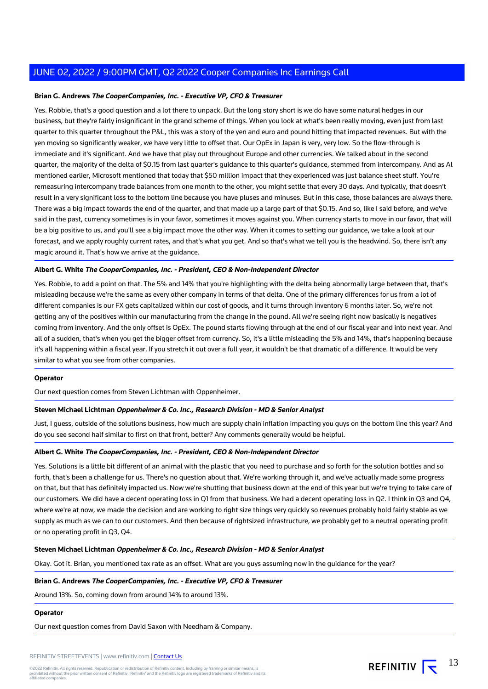#### **Brian G. Andrews The CooperCompanies, Inc. - Executive VP, CFO & Treasurer**

Yes. Robbie, that's a good question and a lot there to unpack. But the long story short is we do have some natural hedges in our business, but they're fairly insignificant in the grand scheme of things. When you look at what's been really moving, even just from last quarter to this quarter throughout the P&L, this was a story of the yen and euro and pound hitting that impacted revenues. But with the yen moving so significantly weaker, we have very little to offset that. Our OpEx in Japan is very, very low. So the flow-through is immediate and it's significant. And we have that play out throughout Europe and other currencies. We talked about in the second quarter, the majority of the delta of \$0.15 from last quarter's guidance to this quarter's guidance, stemmed from intercompany. And as Al mentioned earlier, Microsoft mentioned that today that \$50 million impact that they experienced was just balance sheet stuff. You're remeasuring intercompany trade balances from one month to the other, you might settle that every 30 days. And typically, that doesn't result in a very significant loss to the bottom line because you have pluses and minuses. But in this case, those balances are always there. There was a big impact towards the end of the quarter, and that made up a large part of that \$0.15. And so, like I said before, and we've said in the past, currency sometimes is in your favor, sometimes it moves against you. When currency starts to move in our favor, that will be a big positive to us, and you'll see a big impact move the other way. When it comes to setting our guidance, we take a look at our forecast, and we apply roughly current rates, and that's what you get. And so that's what we tell you is the headwind. So, there isn't any magic around it. That's how we arrive at the guidance.

#### **Albert G. White The CooperCompanies, Inc. - President, CEO & Non-Independent Director**

Yes. Robbie, to add a point on that. The 5% and 14% that you're highlighting with the delta being abnormally large between that, that's misleading because we're the same as every other company in terms of that delta. One of the primary differences for us from a lot of different companies is our FX gets capitalized within our cost of goods, and it turns through inventory 6 months later. So, we're not getting any of the positives within our manufacturing from the change in the pound. All we're seeing right now basically is negatives coming from inventory. And the only offset is OpEx. The pound starts flowing through at the end of our fiscal year and into next year. And all of a sudden, that's when you get the bigger offset from currency. So, it's a little misleading the 5% and 14%, that's happening because it's all happening within a fiscal year. If you stretch it out over a full year, it wouldn't be that dramatic of a difference. It would be very similar to what you see from other companies.

#### **Operator**

Our next question comes from Steven Lichtman with Oppenheimer.

#### **Steven Michael Lichtman Oppenheimer & Co. Inc., Research Division - MD & Senior Analyst**

Just, I guess, outside of the solutions business, how much are supply chain inflation impacting you guys on the bottom line this year? And do you see second half similar to first on that front, better? Any comments generally would be helpful.

#### **Albert G. White The CooperCompanies, Inc. - President, CEO & Non-Independent Director**

Yes. Solutions is a little bit different of an animal with the plastic that you need to purchase and so forth for the solution bottles and so forth, that's been a challenge for us. There's no question about that. We're working through it, and we've actually made some progress on that, but that has definitely impacted us. Now we're shutting that business down at the end of this year but we're trying to take care of our customers. We did have a decent operating loss in Q1 from that business. We had a decent operating loss in Q2. I think in Q3 and Q4, where we're at now, we made the decision and are working to right size things very quickly so revenues probably hold fairly stable as we supply as much as we can to our customers. And then because of rightsized infrastructure, we probably get to a neutral operating profit or no operating profit in Q3, Q4.

#### **Steven Michael Lichtman Oppenheimer & Co. Inc., Research Division - MD & Senior Analyst**

Okay. Got it. Brian, you mentioned tax rate as an offset. What are you guys assuming now in the guidance for the year?

#### **Brian G. Andrews The CooperCompanies, Inc. - Executive VP, CFO & Treasurer**

Around 13%. So, coming down from around 14% to around 13%.

#### **Operator**

Our next question comes from David Saxon with Needham & Company.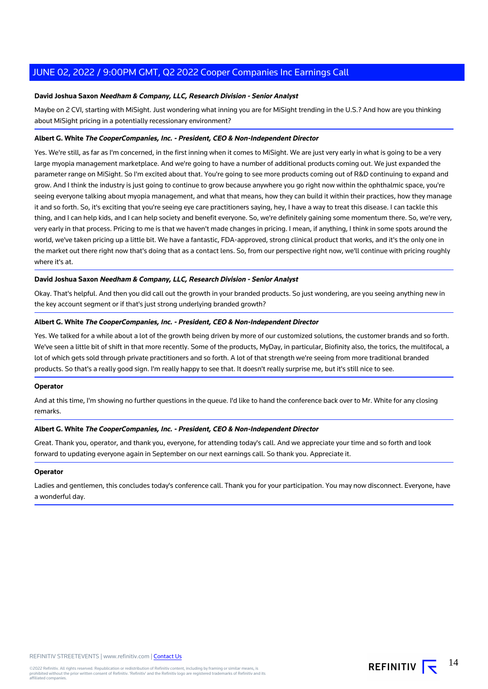#### **David Joshua Saxon Needham & Company, LLC, Research Division - Senior Analyst**

Maybe on 2 CVI, starting with MiSight. Just wondering what inning you are for MiSight trending in the U.S.? And how are you thinking about MiSight pricing in a potentially recessionary environment?

#### **Albert G. White The CooperCompanies, Inc. - President, CEO & Non-Independent Director**

Yes. We're still, as far as I'm concerned, in the first inning when it comes to MiSight. We are just very early in what is going to be a very large myopia management marketplace. And we're going to have a number of additional products coming out. We just expanded the parameter range on MiSight. So I'm excited about that. You're going to see more products coming out of R&D continuing to expand and grow. And I think the industry is just going to continue to grow because anywhere you go right now within the ophthalmic space, you're seeing everyone talking about myopia management, and what that means, how they can build it within their practices, how they manage it and so forth. So, it's exciting that you're seeing eye care practitioners saying, hey, I have a way to treat this disease. I can tackle this thing, and I can help kids, and I can help society and benefit everyone. So, we're definitely gaining some momentum there. So, we're very, very early in that process. Pricing to me is that we haven't made changes in pricing. I mean, if anything, I think in some spots around the world, we've taken pricing up a little bit. We have a fantastic, FDA-approved, strong clinical product that works, and it's the only one in the market out there right now that's doing that as a contact lens. So, from our perspective right now, we'll continue with pricing roughly where it's at.

#### **David Joshua Saxon Needham & Company, LLC, Research Division - Senior Analyst**

Okay. That's helpful. And then you did call out the growth in your branded products. So just wondering, are you seeing anything new in the key account segment or if that's just strong underlying branded growth?

#### **Albert G. White The CooperCompanies, Inc. - President, CEO & Non-Independent Director**

Yes. We talked for a while about a lot of the growth being driven by more of our customized solutions, the customer brands and so forth. We've seen a little bit of shift in that more recently. Some of the products, MyDay, in particular, Biofinity also, the torics, the multifocal, a lot of which gets sold through private practitioners and so forth. A lot of that strength we're seeing from more traditional branded products. So that's a really good sign. I'm really happy to see that. It doesn't really surprise me, but it's still nice to see.

#### **Operator**

And at this time, I'm showing no further questions in the queue. I'd like to hand the conference back over to Mr. White for any closing remarks.

#### **Albert G. White The CooperCompanies, Inc. - President, CEO & Non-Independent Director**

Great. Thank you, operator, and thank you, everyone, for attending today's call. And we appreciate your time and so forth and look forward to updating everyone again in September on our next earnings call. So thank you. Appreciate it.

#### **Operator**

Ladies and gentlemen, this concludes today's conference call. Thank you for your participation. You may now disconnect. Everyone, have a wonderful day.

14 REFINITIV  $\overline{\mathbf{F}}$